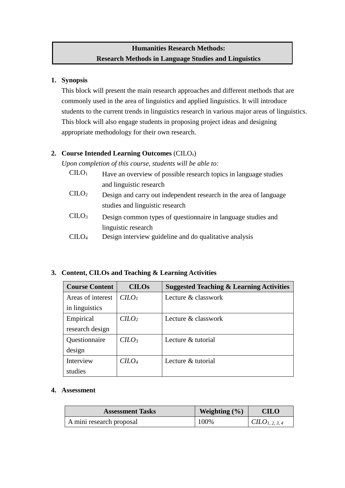# **Humanities Research Methods: Research Methods in Language Studies and Linguistics**

### **1. Synopsis**

This block will present the main research approaches and different methods that are commonly used in the area of linguistics and applied linguistics. It will introduce students to the current trends in linguistics research in various major areas of linguistics. This block will also engage students in proposing project ideas and designing appropriate methodology for their own research.

## **2. Course Intended Learning Outcomes** (CILOs)

*Upon completion of this course, students will be able to:*

- $CID<sub>1</sub>$  Have an overview of possible research topics in language studies and linguistic research
- $CHO<sub>2</sub>$  Design and carry out independent research in the area of language studies and linguistic research
- CILO<sup>3</sup> Design common types of questionnaire in language studies and linguistic research
- CILO<sup>4</sup> Design interview guideline and do qualitative analysis

# **3. Content, CILOs and Teaching & Learning Activities**

| <b>Course Content</b> | <b>CILOs</b> | <b>Suggested Teaching &amp; Learning Activities</b> |
|-----------------------|--------------|-----------------------------------------------------|
| Areas of interest     | $C LO$       | Lecture & classwork                                 |
| in linguistics        |              |                                                     |
| Empirical             | $C$          | Lecture & classwork                                 |
| research design       |              |                                                     |
| Questionnaire         | $C$          | Lecture $\&$ tutorial                               |
| design                |              |                                                     |
| Interview             | <i>CILO4</i> | Lecture & tutorial                                  |
| studies               |              |                                                     |

**4. Assessment**

| <b>Assessment Tasks</b>  | Weighting $(\% )$ | <b>CILO</b>         |
|--------------------------|-------------------|---------------------|
| A mini research proposal | 100%              | $CLLO_{1, 2, 3, 4}$ |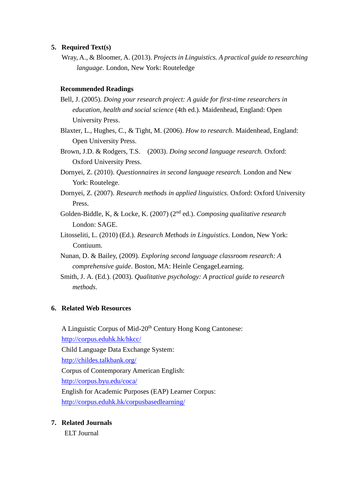#### **5. Required Text(s)**

Wray, A., & Bloomer, A. (2013). *Projects in Linguistics. A practical guide to researching language*. London, New York: Routeledge

#### **Recommended Readings**

- Bell, J. (2005). *Doing your research project: A guide for first-time researchers in education, health and social science* (4th ed.). Maidenhead, England: Open University Press.
- Blaxter, L., Hughes, C., & Tight, M. (2006). *How to research*. Maidenhead, England: Open University Press.
- Brown, J.D. & Rodgers, T.S. (2003). *Doing second language research.* Oxford: Oxford University Press.
- Dornyei, Z. (2010). *Questionnaires in second language research*. London and New York: Routelege.
- Dornyei, Z. (2007). *Research methods in applied linguistics.* Oxford: Oxford University Press.
- Golden-Biddle, K, & Locke, K. (2007) (2nd ed.). *Composing qualitative research* London: SAGE.
- Litosseliti, L. (2010) (Ed.). *Research Methods in Linguistics*. London, New York: Contiuum.
- Nunan, D. & Bailey, (2009). *Exploring second language classroom research: A comprehensive guide*. Boston, MA: Heinle CengageLearning.
- Smith, J. A. (Ed.). (2003). *Qualitative psychology: A practical guide to research methods*.

### **6. Related Web Resources**

A Linguistic Corpus of Mid-20<sup>th</sup> Century Hong Kong Cantonese:

<http://corpus.eduhk.hk/hkcc/>

Child Language Data Exchange System:

<http://childes.talkbank.org/>

Corpus of Contemporary American English:

<http://corpus.byu.edu/coca/>

English for Academic Purposes (EAP) Learner Corpus:

<http://corpus.eduhk.hk/corpusbasedlearning/>

### **7. Related Journals**

ELT Journal